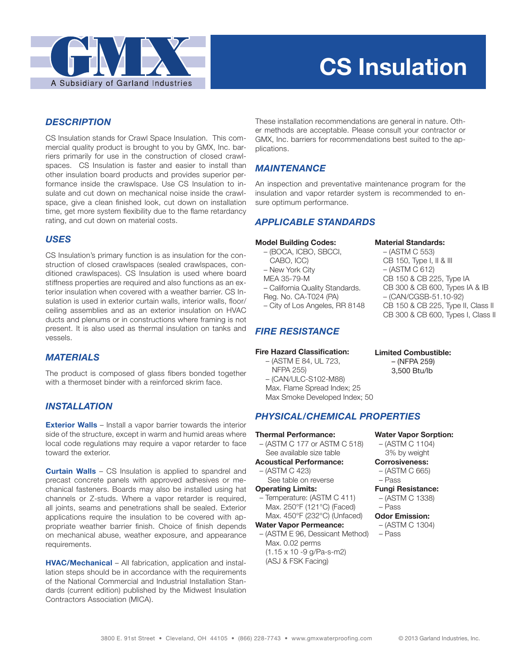

# **CS Insulation**

# *DESCRIPTION*

CS Insulation stands for Crawl Space Insulation. This commercial quality product is brought to you by GMX, Inc. barriers primarily for use in the construction of closed crawlspaces. CS Insulation is faster and easier to install than other insulation board products and provides superior performance inside the crawlspace. Use CS Insulation to insulate and cut down on mechanical noise inside the crawlspace, give a clean finished look, cut down on installation time, get more system flexibility due to the flame retardancy rating, and cut down on material costs.

## *USES*

CS Insulation's primary function is as insulation for the construction of closed crawlspaces (sealed crawlspaces, conditioned crawlspaces). CS Insulation is used where board stiffness properties are required and also functions as an exterior insulation when covered with a weather barrier. CS Insulation is used in exterior curtain walls, interior walls, floor/ ceiling assemblies and as an exterior insulation on HVAC ducts and plenums or in constructions where framing is not present. It is also used as thermal insulation on tanks and vessels.

# *MATERIALS*

The product is composed of glass fibers bonded together with a thermoset binder with a reinforced skrim face.

### *INSTALLATION*

**Exterior Walls** – Install a vapor barrier towards the interior side of the structure, except in warm and humid areas where local code regulations may require a vapor retarder to face toward the exterior.

**Curtain Walls** – CS Insulation is applied to spandrel and precast concrete panels with approved adhesives or mechanical fasteners. Boards may also be installed using hat channels or Z-studs. Where a vapor retarder is required, all joints, seams and penetrations shall be sealed. Exterior applications require the insulation to be covered with appropriate weather barrier finish. Choice of finish depends on mechanical abuse, weather exposure, and appearance requirements.

**HVAC/Mechanical** – All fabrication, application and installation steps should be in accordance with the requirements of the National Commercial and Industrial Installation Standards (current edition) published by the Midwest Insulation Contractors Association (MICA).

These installation recommendations are general in nature. Other methods are acceptable. Please consult your contractor or GMX, Inc. barriers for recommendations best suited to the applications.

# *MAINTENANCE*

An inspection and preventative maintenance program for the insulation and vapor retarder system is recommended to ensure optimum performance.

# *APPLICABLE STANDARDS*

#### **Model Building Codes:**

 – (BOCA, ICBO, SBCCI, CABO, ICC) – New York City MEA 35-79-M – California Quality Standards. Reg. No. CA-T024 (PA) – City of Los Angeles, RR 8148

# *FIRE RESISTANCE*

#### **Fire Hazard Classification:**

 – (ASTM E 84, UL 723, NFPA 255) – (CAN/ULC-S102-M88) Max. Flame Spread Index: 25 Max Smoke Developed Index; 50

### *PHYSICAL/CHEMICAL PROPERTIES*

#### **Thermal Performance:**

- (ASTM C 177 or ASTM C 518) See available size table **Acoustical Performance:**
- (ASTM C 423)
- See table on reverse **Operating Limits:**
- Temperature: (ASTM C 411) Max. 250°F (121°C) (Faced) Max. 450°F (232°C) (Unfaced)

**Water Vapor Permeance:**

 – (ASTM E 96, Dessicant Method) Max. 0.02 perms (1.15 x 10 -9 g/Pa-s-m2) (ASJ & FSK Facing)

# – (ASTM C 553)

**Material Standards:**

 CB 150, Type I, II & III – (ASTM C 612) CB 150 & CB 225, Type IA CB 300 & CB 600, Types IA & IB – (CAN/CGSB-51.10-92) CB 150 & CB 225, Type II, Class II CB 300 & CB 600, Types I, Class II

- **Limited Combustible:** – (NFPA 259)
	- 3,500 Btu/lb
- **Water Vapor Sorption:** – (ASTM C 1104)
- 3% by weight **Corrosiveness:** 
	- (ASTM C 665)
	- Pass
	- **Fungi Resistance:**
	- (ASTM C 1338)
	- Pass

#### **Odor Emission:**

- (ASTM C 1304)
- Pass